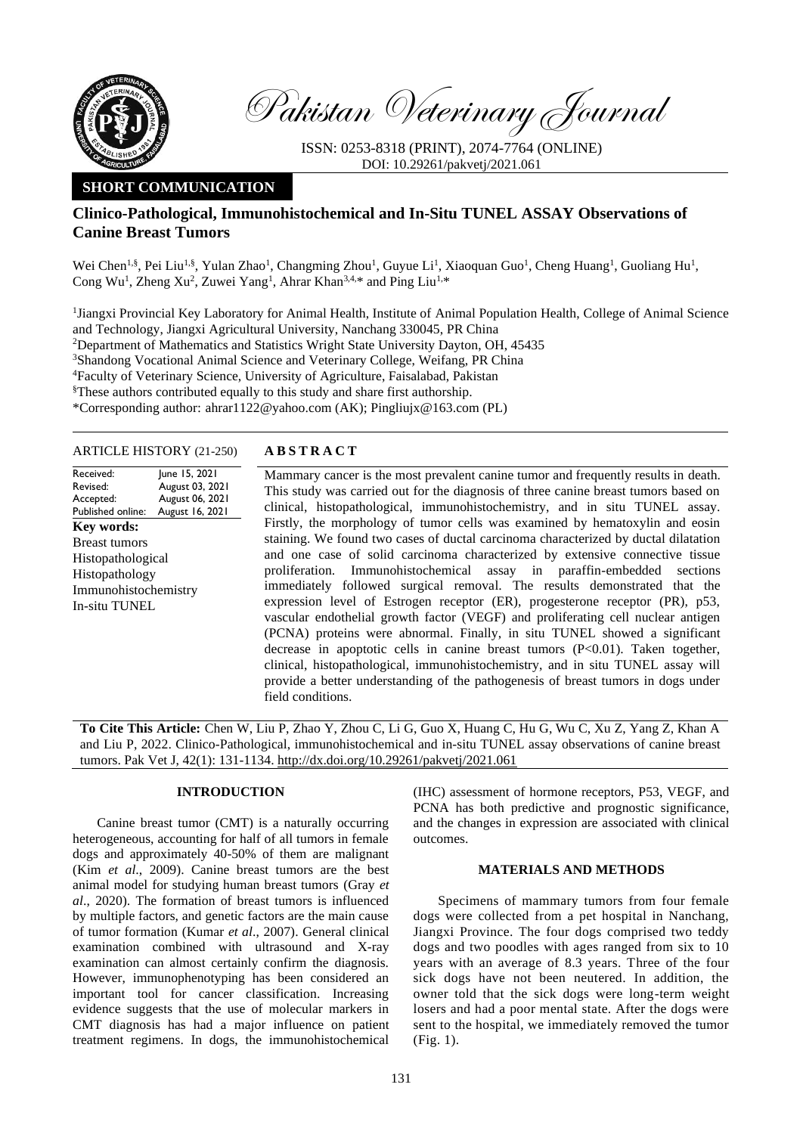

Pakistan Veterinary Journal

ISSN: 0253-8318 (PRINT), 2074-7764 (ONLINE) DOI: 10.29261/pakvetj/2021.061

# **SHORT COMMUNICATION**

# **Clinico-Pathological, Immunohistochemical and In-Situ TUNEL ASSAY Observations of Canine Breast Tumors**

Wei Chen<sup>1,§</sup>, Pei Liu<sup>1,§</sup>, Yulan Zhao<sup>1</sup>, Changming Zhou<sup>1</sup>, Guyue Li<sup>1</sup>, Xiaoquan Guo<sup>1</sup>, Cheng Huang<sup>1</sup>, Guoliang Hu<sup>1</sup>, Cong Wu<sup>1</sup>, Zheng Xu<sup>2</sup>, Zuwei Yang<sup>1</sup>, Ahrar Khan<sup>3,4,\*</sup> and Ping Liu<sup>1,\*</sup>

<sup>1</sup>Jiangxi Provincial Key Laboratory for Animal Health, Institute of Animal Population Health, College of Animal Science and Technology, Jiangxi Agricultural University, Nanchang 330045, PR China <sup>2</sup>Department of Mathematics and Statistics Wright State University Dayton, OH, 45435 <sup>3</sup>Shandong Vocational Animal Science and Veterinary College, Weifang, PR China <sup>4</sup>Faculty of Veterinary Science, University of Agriculture, Faisalabad, Pakistan §These authors contributed equally to this study and share first authorship. \*Corresponding author: ahrar1122@yahoo.com (AK); Pingliujx@163.com (PL)

# ARTICLE HISTORY (21-250) **A B S T R A C T**

Received: Revised: Accepted: Published online: June 15, 2021 August 03, 2021 August 06, 2021 August 16, 2021 **Key words:**  Breast tumors Histopathological Histopathology Immunohistochemistry In-situ TUNEL

Mammary cancer is the most prevalent canine tumor and frequently results in death. This study was carried out for the diagnosis of three canine breast tumors based on clinical, histopathological, immunohistochemistry, and in situ TUNEL assay. Firstly, the morphology of tumor cells was examined by hematoxylin and eosin staining. We found two cases of ductal carcinoma characterized by ductal dilatation and one case of solid carcinoma characterized by extensive connective tissue proliferation. Immunohistochemical assay in paraffin-embedded sections immediately followed surgical removal. The results demonstrated that the expression level of Estrogen receptor (ER), progesterone receptor (PR), p53, vascular endothelial growth factor (VEGF) and proliferating cell nuclear antigen (PCNA) proteins were abnormal. Finally, in situ TUNEL showed a significant decrease in apoptotic cells in canine breast tumors (P<0.01). Taken together, clinical, histopathological, immunohistochemistry, and in situ TUNEL assay will provide a better understanding of the pathogenesis of breast tumors in dogs under field conditions.

**To Cite This Article:** Chen W, Liu P, Zhao Y, Zhou C, Li G, Guo X, Huang C, Hu G, Wu C, Xu Z, Yang Z, Khan A and Liu P, 2022. Clinico-Pathological, immunohistochemical and in-situ TUNEL assay observations of canine breast tumors. Pak Vet J, 42(1): 131-1134. [http://dx.doi.org/10.29261/pakvetj/2021.061](http://pvj.com.pk/pdf-files/42_1/131-134.pdf)

## **INTRODUCTION**

Canine breast tumor (CMT) is a naturally occurring heterogeneous, accounting for half of all tumors in female dogs and approximately 40-50% of them are malignant (Kim *et al*., 2009). Canine breast tumors are the best animal model for studying human breast tumors (Gray *et al*., 2020). The formation of breast tumors is influenced by multiple factors, and genetic factors are the main cause of tumor formation (Kumar *et al*., 2007). General clinical examination combined with ultrasound and X-ray examination can almost certainly confirm the diagnosis. However, immunophenotyping has been considered an important tool for cancer classification. Increasing evidence suggests that the use of molecular markers in CMT diagnosis has had a major influence on patient treatment regimens. In dogs, the immunohistochemical

(IHC) assessment of hormone receptors, P53, VEGF, and PCNA has both predictive and prognostic significance, and the changes in expression are associated with clinical outcomes.

## **MATERIALS AND METHODS**

Specimens of mammary tumors from four female dogs were collected from a pet hospital in Nanchang, Jiangxi Province. The four dogs comprised two teddy dogs and two poodles with ages ranged from six to 10 years with an average of 8.3 years. Three of the four sick dogs have not been neutered. In addition, the owner told that the sick dogs were long-term weight losers and had a poor mental state. After the dogs were sent to the hospital, we immediately removed the tumor (Fig. 1).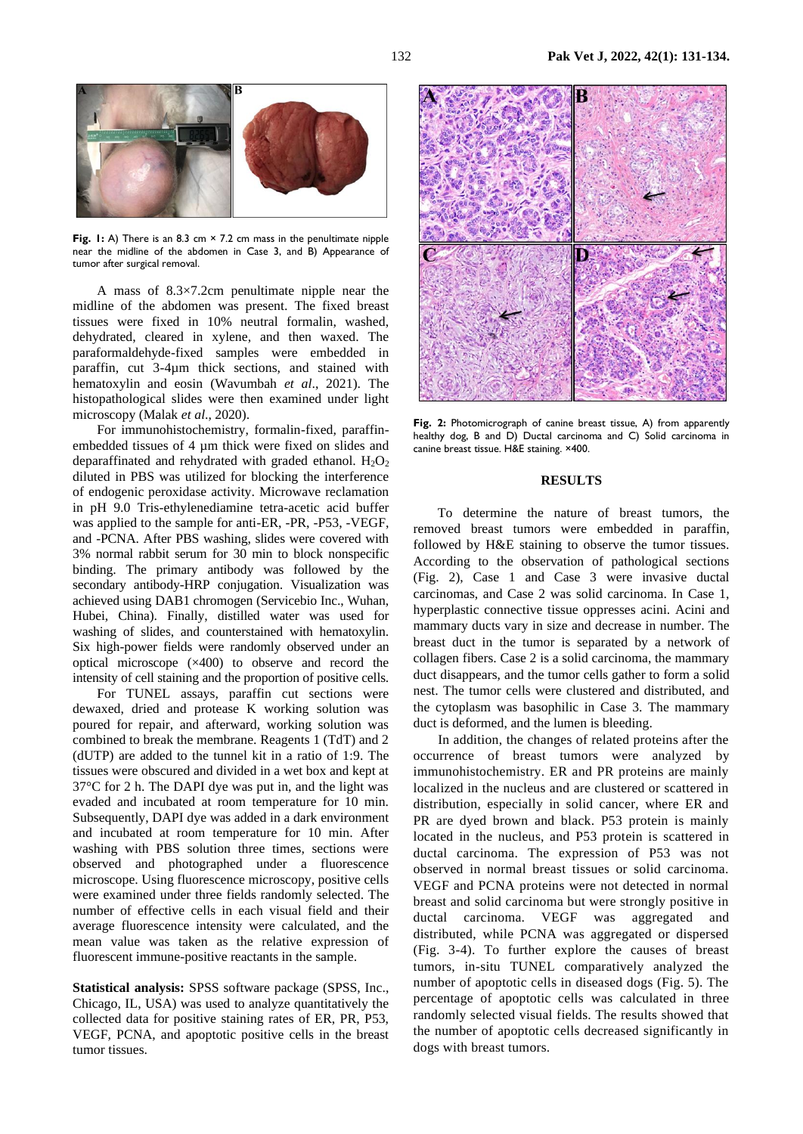

**Fig. 1:** A) There is an 8.3 cm  $\times$  7.2 cm mass in the penultimate nipple near the midline of the abdomen in Case 3, and B) Appearance of tumor after surgical removal.

A mass of 8.3×7.2cm penultimate nipple near the midline of the abdomen was present. The fixed breast tissues were fixed in 10% neutral formalin, washed, dehydrated, cleared in xylene, and then waxed. The paraformaldehyde-fixed samples were embedded in paraffin, cut 3-4µm thick sections, and stained with hematoxylin and eosin (Wavumbah *et al*., 2021). The histopathological slides were then examined under light microscopy (Malak *et al*., 2020).

For immunohistochemistry, formalin-fixed, paraffinembedded tissues of 4  $\mu$ m thick were fixed on slides and deparaffinated and rehydrated with graded ethanol.  $H_2O_2$ diluted in PBS was utilized for blocking the interference of endogenic peroxidase activity. Microwave reclamation in pH 9.0 Tris-ethylenediamine tetra-acetic acid buffer was applied to the sample for anti-ER, -PR, -P53, -VEGF, and -PCNA. After PBS washing, slides were covered with 3% normal rabbit serum for 30 min to block nonspecific binding. The primary antibody was followed by the secondary antibody-HRP conjugation. Visualization was achieved using DAB1 chromogen (Servicebio Inc., Wuhan, Hubei, China). Finally, distilled water was used for washing of slides, and counterstained with hematoxylin. Six high-power fields were randomly observed under an optical microscope (×400) to observe and record the intensity of cell staining and the proportion of positive cells.

For TUNEL assays, paraffin cut sections were dewaxed, dried and protease K working solution was poured for repair, and afterward, working solution was combined to break the membrane. Reagents 1 (TdT) and 2 (dUTP) are added to the tunnel kit in a ratio of 1:9. The tissues were obscured and divided in a wet box and kept at 37°C for 2 h. The DAPI dye was put in, and the light was evaded and incubated at room temperature for 10 min. Subsequently, DAPI dye was added in a dark environment and incubated at room temperature for 10 min. After washing with PBS solution three times, sections were observed and photographed under a fluorescence microscope. Using fluorescence microscopy, positive cells were examined under three fields randomly selected. The number of effective cells in each visual field and their average fluorescence intensity were calculated, and the mean value was taken as the relative expression of fluorescent immune-positive reactants in the sample.

**Statistical analysis:** SPSS software package (SPSS, Inc., Chicago, IL, USA) was used to analyze quantitatively the collected data for positive staining rates of ER, PR, P53, VEGF, PCNA, and apoptotic positive cells in the breast tumor tissues.



**Fig. 2:** Photomicrograph of canine breast tissue, A) from apparently healthy dog, B and D) Ductal carcinoma and C) Solid carcinoma in canine breast tissue. H&E staining. ×400.

### **RESULTS**

To determine the nature of breast tumors, the removed breast tumors were embedded in paraffin, followed by H&E staining to observe the tumor tissues. According to the observation of pathological sections (Fig. 2), Case 1 and Case 3 were invasive ductal carcinomas, and Case 2 was solid carcinoma. In Case 1, hyperplastic connective tissue oppresses acini. Acini and mammary ducts vary in size and decrease in number. The breast duct in the tumor is separated by a network of collagen fibers. Case 2 is a solid carcinoma, the mammary duct disappears, and the tumor cells gather to form a solid nest. The tumor cells were clustered and distributed, and the cytoplasm was basophilic in Case 3. The mammary duct is deformed, and the lumen is bleeding.

In addition, the changes of related proteins after the occurrence of breast tumors were analyzed by immunohistochemistry. ER and PR proteins are mainly localized in the nucleus and are clustered or scattered in distribution, especially in solid cancer, where ER and PR are dyed brown and black. P53 protein is mainly located in the nucleus, and P53 protein is scattered in ductal carcinoma. The expression of P53 was not observed in normal breast tissues or solid carcinoma. VEGF and PCNA proteins were not detected in normal breast and solid carcinoma but were strongly positive in ductal carcinoma. VEGF was aggregated and distributed, while PCNA was aggregated or dispersed (Fig. 3-4). To further explore the causes of breast tumors, in-situ TUNEL comparatively analyzed the number of apoptotic cells in diseased dogs (Fig. 5). The percentage of apoptotic cells was calculated in three randomly selected visual fields. The results showed that the number of apoptotic cells decreased significantly in dogs with breast tumors.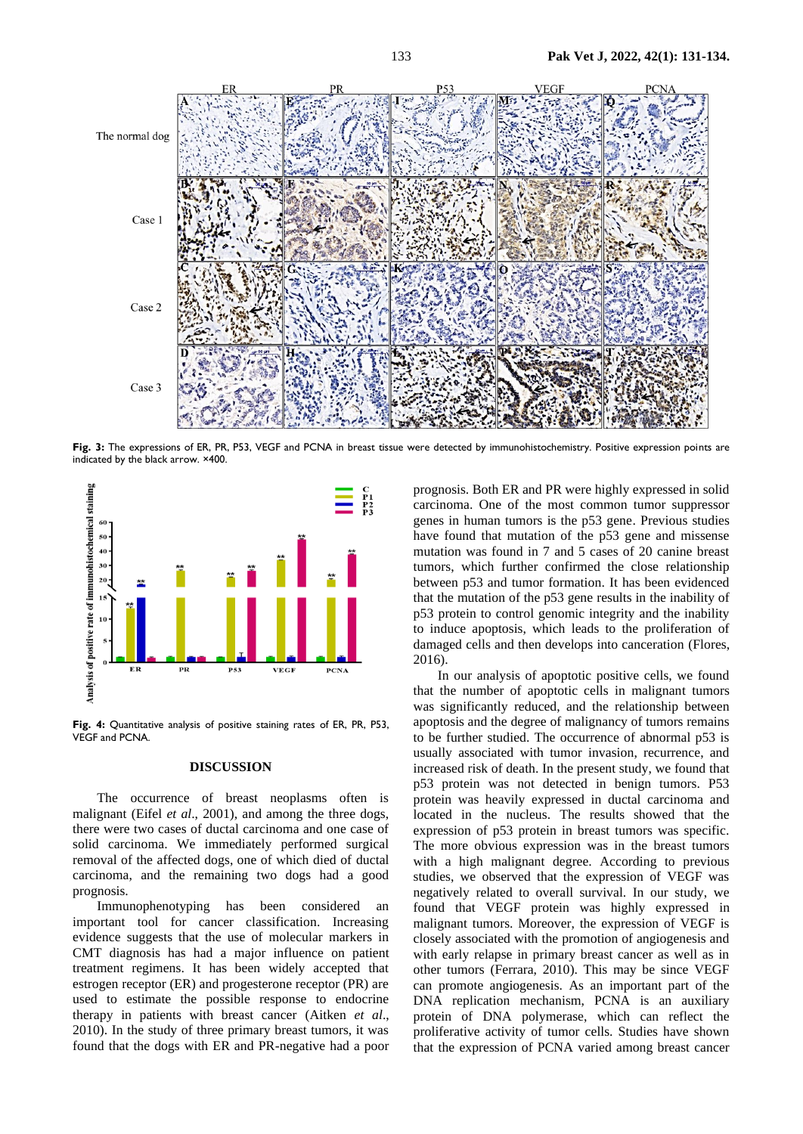

**Fig. 3:** The expressions of ER, PR, P53, VEGF and PCNA in breast tissue were detected by immunohistochemistry. Positive expression points are indicated by the black arrow. ×400.



**Fig. 4:** Quantitative analysis of positive staining rates of ER, PR, P53, VEGF and PCNA.

#### **DISCUSSION**

The occurrence of breast neoplasms often is malignant (Eifel *et al*., 2001), and among the three dogs, there were two cases of ductal carcinoma and one case of solid carcinoma. We immediately performed surgical removal of the affected dogs, one of which died of ductal carcinoma, and the remaining two dogs had a good prognosis.

Immunophenotyping has been considered an important tool for cancer classification. Increasing evidence suggests that the use of molecular markers in CMT diagnosis has had a major influence on patient treatment regimens. It has been widely accepted that estrogen receptor (ER) and progesterone receptor (PR) are used to estimate the possible response to endocrine therapy in patients with breast cancer (Aitken *et al*., 2010). In the study of three primary breast tumors, it was found that the dogs with ER and PR-negative had a poor

prognosis. Both ER and PR were highly expressed in solid carcinoma. One of the most common tumor suppressor genes in human tumors is the p53 gene. Previous studies have found that mutation of the p53 gene and missense mutation was found in 7 and 5 cases of 20 canine breast tumors, which further confirmed the close relationship between p53 and tumor formation. It has been evidenced that the mutation of the p53 gene results in the inability of p53 protein to control genomic integrity and the inability to induce apoptosis, which leads to the proliferation of damaged cells and then develops into canceration (Flores, 2016).

In our analysis of apoptotic positive cells, we found that the number of apoptotic cells in malignant tumors was significantly reduced, and the relationship between apoptosis and the degree of malignancy of tumors remains to be further studied. The occurrence of abnormal p53 is usually associated with tumor invasion, recurrence, and increased risk of death. In the present study, we found that p53 protein was not detected in benign tumors. P53 protein was heavily expressed in ductal carcinoma and located in the nucleus. The results showed that the expression of p53 protein in breast tumors was specific. The more obvious expression was in the breast tumors with a high malignant degree. According to previous studies, we observed that the expression of VEGF was negatively related to overall survival. In our study, we found that VEGF protein was highly expressed in malignant tumors. Moreover, the expression of VEGF is closely associated with the promotion of angiogenesis and with early relapse in primary breast cancer as well as in other tumors (Ferrara, 2010). This may be since VEGF can promote angiogenesis. As an important part of the DNA replication mechanism, PCNA is an auxiliary protein of DNA polymerase, which can reflect the proliferative activity of tumor cells. Studies have shown that the expression of PCNA varied among breast cancer